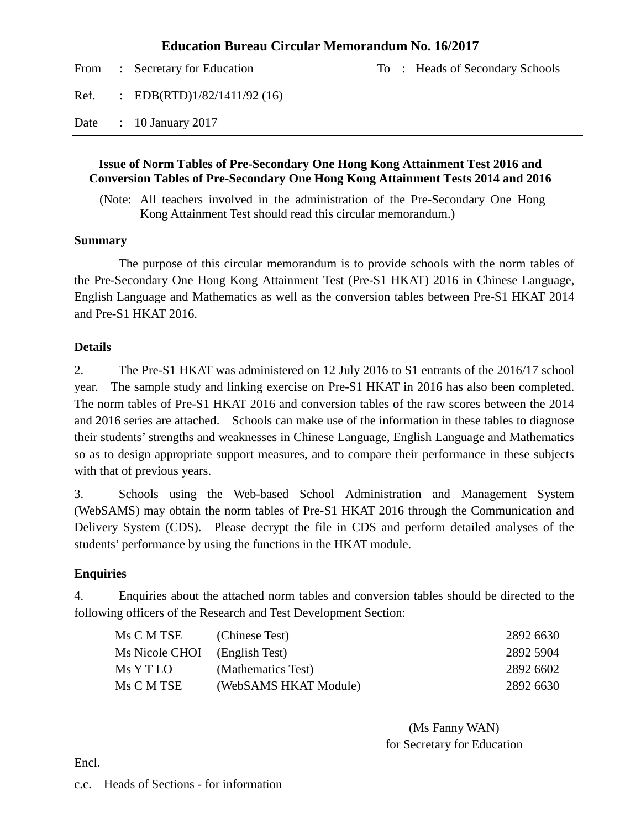#### **Education Bureau Circular Memorandum No. 16/2017**

|      | From : Secretary for Education |  | To: Heads of Secondary Schools |
|------|--------------------------------|--|--------------------------------|
| Ref. | : EDB(RTD) $1/82/1411/92$ (16) |  |                                |
| Date | $\therefore$ 10 January 2017   |  |                                |

#### **Issue of Norm Tables of Pre-Secondary One Hong Kong Attainment Test 2016 and Conversion Tables of Pre-Secondary One Hong Kong Attainment Tests 2014 and 2016**

(Note: All teachers involved in the administration of the Pre-Secondary One Hong Kong Attainment Test should read this circular memorandum.)

#### **Summary**

The purpose of this circular memorandum is to provide schools with the norm tables of the Pre-Secondary One Hong Kong Attainment Test (Pre-S1 HKAT) 2016 in Chinese Language, English Language and Mathematics as well as the conversion tables between Pre-S1 HKAT 2014 and Pre-S1 HKAT 2016.

#### **Details**

2. The Pre-S1 HKAT was administered on 12 July 2016 to S1 entrants of the 2016/17 school year. The sample study and linking exercise on Pre-S1 HKAT in 2016 has also been completed. The norm tables of Pre-S1 HKAT 2016 and conversion tables of the raw scores between the 2014 and 2016 series are attached. Schools can make use of the information in these tables to diagnose their students' strengths and weaknesses in Chinese Language, English Language and Mathematics so as to design appropriate support measures, and to compare their performance in these subjects with that of previous years.

3. Schools using the Web-based School Administration and Management System (WebSAMS) may obtain the norm tables of Pre-S1 HKAT 2016 through the Communication and Delivery System (CDS). Please decrypt the file in CDS and perform detailed analyses of the students' performance by using the functions in the HKAT module.

#### **Enquiries**

4. Enquiries about the attached norm tables and conversion tables should be directed to the following officers of the Research and Test Development Section:

| Ms C M TSE            | (Chinese Test)        | 2892 6630 |
|-----------------------|-----------------------|-----------|
| <b>Ms Nicole CHOI</b> | (English Test)        | 2892 5904 |
| Ms Y T LO             | (Mathematics Test)    | 2892 6602 |
| Ms C M TSE            | (WebSAMS HKAT Module) | 2892 6630 |

(Ms Fanny WAN) for Secretary for Education

Encl.

#### c.c. Heads of Sections - for information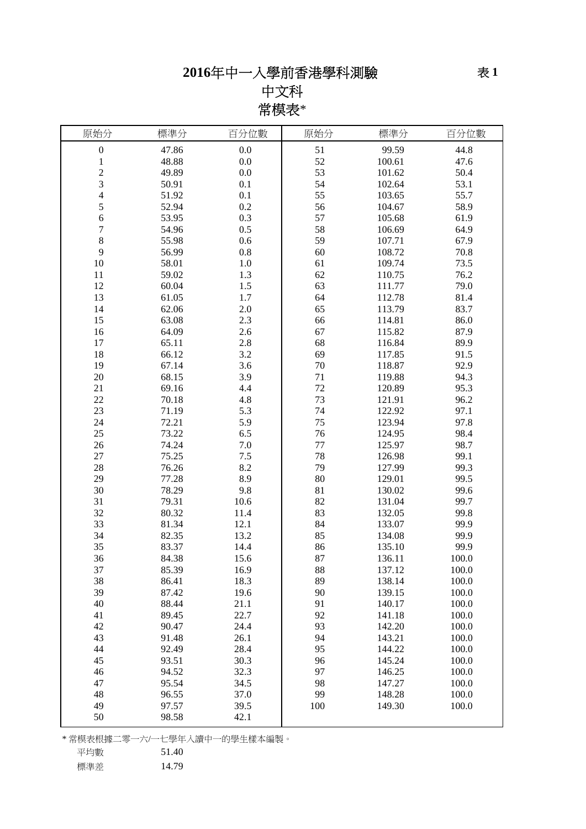# 中文科 常模表\*

| 0.0<br>$\boldsymbol{0}$<br>51<br>99.59<br>44.8<br>47.86<br>52<br>48.88<br>0.0<br>47.6<br>$\mathbf{1}$<br>100.61<br>$\overline{\mathbf{c}}$<br>53<br>50.4<br>49.89<br>0.0<br>101.62<br>3<br>53.1<br>50.91<br>0.1<br>54<br>102.64<br>4<br>55.7<br>51.92<br>0.1<br>55<br>103.65<br>5<br>52.94<br>0.2<br>56<br>58.9<br>104.67<br>6<br>0.3<br>57<br>53.95<br>105.68<br>61.9<br>7<br>58<br>0.5<br>64.9<br>54.96<br>106.69<br>$8\,$<br>55.98<br>$0.6\,$<br>59<br>67.9<br>107.71<br>9<br>$0.8\,$<br>60<br>70.8<br>56.99<br>108.72<br>$10\,$<br>58.01<br>$1.0\,$<br>61<br>73.5<br>109.74<br>59.02<br>1.3<br>62<br>76.2<br>11<br>110.75<br>12<br>60.04<br>1.5<br>63<br>79.0<br>111.77<br>13<br>61.05<br>64<br>81.4<br>1.7<br>112.78<br>62.06<br>2.0<br>65<br>83.7<br>14<br>113.79<br>2.3<br>86.0<br>15<br>63.08<br>66<br>114.81<br>87.9<br>64.09<br>2.6<br>67<br>115.82<br>16<br>89.9<br>17<br>65.11<br>2.8<br>68<br>116.84<br>18<br>66.12<br>3.2<br>69<br>117.85<br>91.5<br>70<br>92.9<br>19<br>67.14<br>3.6<br>118.87<br>20<br>68.15<br>3.9<br>71<br>119.88<br>94.3<br>4.4<br>72<br>21<br>69.16<br>95.3<br>120.89<br>22<br>4.8<br>73<br>96.2<br>70.18<br>121.91<br>23<br>5.3<br>74<br>97.1<br>71.19<br>122.92<br>5.9<br>75<br>97.8<br>24<br>72.21<br>123.94<br>25<br>6.5<br>76<br>98.4<br>73.22<br>124.95<br>74.24<br>$77 \,$<br>98.7<br>26<br>7.0<br>125.97<br>$27\,$<br>75.25<br>$7.5$<br>78<br>126.98<br>99.1<br>8.2<br>79<br>99.3<br>28<br>76.26<br>127.99<br>29<br>77.28<br>8.9<br>80<br>99.5<br>129.01<br>78.29<br>30<br>9.8<br>81<br>130.02<br>99.6<br>31<br>79.31<br>82<br>99.7<br>10.6<br>131.04<br>32<br>83<br>80.32<br>132.05<br>99.8<br>11.4<br>33<br>84<br>81.34<br>12.1<br>133.07<br>99.9<br>34<br>13.2<br>85<br>99.9<br>82.35<br>134.08<br>35<br>83.37<br>86<br>99.9<br>14.4<br>135.10<br>36<br>87<br>84.38<br>15.6<br>136.11<br>100.0<br>88<br>37<br>85.39<br>16.9<br>137.12<br>100.0<br>38<br>89<br>138.14<br>18.3<br>100.0<br>86.41<br>39<br>87.42<br>19.6<br>90<br>139.15<br>100.0<br>40<br>88.44<br>21.1<br>91<br>140.17<br>100.0<br>89.45<br>22.7<br>92<br>100.0<br>41<br>141.18<br>42<br>90.47<br>93<br>100.0<br>24.4<br>142.20<br>94<br>43<br>91.48<br>26.1<br>143.21<br>100.0<br>44<br>28.4<br>95<br>92.49<br>144.22<br>100.0<br>96<br>45<br>93.51<br>30.3<br>100.0<br>145.24<br>97<br>46<br>94.52<br>32.3<br>100.0<br>146.25<br>98<br>47<br>95.54<br>34.5<br>147.27<br>100.0<br>48<br>37.0<br>99<br>96.55<br>148.28<br>100.0<br>49<br>97.57<br>39.5<br>100<br>100.0<br>149.30<br>50<br>98.58<br>42.1 | 原始分 | 標準分 | 百分位數 | 原始分 | 標準分 | 百分位數 |
|-----------------------------------------------------------------------------------------------------------------------------------------------------------------------------------------------------------------------------------------------------------------------------------------------------------------------------------------------------------------------------------------------------------------------------------------------------------------------------------------------------------------------------------------------------------------------------------------------------------------------------------------------------------------------------------------------------------------------------------------------------------------------------------------------------------------------------------------------------------------------------------------------------------------------------------------------------------------------------------------------------------------------------------------------------------------------------------------------------------------------------------------------------------------------------------------------------------------------------------------------------------------------------------------------------------------------------------------------------------------------------------------------------------------------------------------------------------------------------------------------------------------------------------------------------------------------------------------------------------------------------------------------------------------------------------------------------------------------------------------------------------------------------------------------------------------------------------------------------------------------------------------------------------------------------------------------------------------------------------------------------------------------------------------------------------------------------------------------------------------------------------------------------------------------------------------------------------------------------------------------------------------------------------------------------------------------------------------------------------------------------------------------------------------------------------------------------------------------------------------------------------------------|-----|-----|------|-----|-----|------|
|                                                                                                                                                                                                                                                                                                                                                                                                                                                                                                                                                                                                                                                                                                                                                                                                                                                                                                                                                                                                                                                                                                                                                                                                                                                                                                                                                                                                                                                                                                                                                                                                                                                                                                                                                                                                                                                                                                                                                                                                                                                                                                                                                                                                                                                                                                                                                                                                                                                                                                                       |     |     |      |     |     |      |
|                                                                                                                                                                                                                                                                                                                                                                                                                                                                                                                                                                                                                                                                                                                                                                                                                                                                                                                                                                                                                                                                                                                                                                                                                                                                                                                                                                                                                                                                                                                                                                                                                                                                                                                                                                                                                                                                                                                                                                                                                                                                                                                                                                                                                                                                                                                                                                                                                                                                                                                       |     |     |      |     |     |      |
|                                                                                                                                                                                                                                                                                                                                                                                                                                                                                                                                                                                                                                                                                                                                                                                                                                                                                                                                                                                                                                                                                                                                                                                                                                                                                                                                                                                                                                                                                                                                                                                                                                                                                                                                                                                                                                                                                                                                                                                                                                                                                                                                                                                                                                                                                                                                                                                                                                                                                                                       |     |     |      |     |     |      |
|                                                                                                                                                                                                                                                                                                                                                                                                                                                                                                                                                                                                                                                                                                                                                                                                                                                                                                                                                                                                                                                                                                                                                                                                                                                                                                                                                                                                                                                                                                                                                                                                                                                                                                                                                                                                                                                                                                                                                                                                                                                                                                                                                                                                                                                                                                                                                                                                                                                                                                                       |     |     |      |     |     |      |
|                                                                                                                                                                                                                                                                                                                                                                                                                                                                                                                                                                                                                                                                                                                                                                                                                                                                                                                                                                                                                                                                                                                                                                                                                                                                                                                                                                                                                                                                                                                                                                                                                                                                                                                                                                                                                                                                                                                                                                                                                                                                                                                                                                                                                                                                                                                                                                                                                                                                                                                       |     |     |      |     |     |      |
|                                                                                                                                                                                                                                                                                                                                                                                                                                                                                                                                                                                                                                                                                                                                                                                                                                                                                                                                                                                                                                                                                                                                                                                                                                                                                                                                                                                                                                                                                                                                                                                                                                                                                                                                                                                                                                                                                                                                                                                                                                                                                                                                                                                                                                                                                                                                                                                                                                                                                                                       |     |     |      |     |     |      |
|                                                                                                                                                                                                                                                                                                                                                                                                                                                                                                                                                                                                                                                                                                                                                                                                                                                                                                                                                                                                                                                                                                                                                                                                                                                                                                                                                                                                                                                                                                                                                                                                                                                                                                                                                                                                                                                                                                                                                                                                                                                                                                                                                                                                                                                                                                                                                                                                                                                                                                                       |     |     |      |     |     |      |
|                                                                                                                                                                                                                                                                                                                                                                                                                                                                                                                                                                                                                                                                                                                                                                                                                                                                                                                                                                                                                                                                                                                                                                                                                                                                                                                                                                                                                                                                                                                                                                                                                                                                                                                                                                                                                                                                                                                                                                                                                                                                                                                                                                                                                                                                                                                                                                                                                                                                                                                       |     |     |      |     |     |      |
|                                                                                                                                                                                                                                                                                                                                                                                                                                                                                                                                                                                                                                                                                                                                                                                                                                                                                                                                                                                                                                                                                                                                                                                                                                                                                                                                                                                                                                                                                                                                                                                                                                                                                                                                                                                                                                                                                                                                                                                                                                                                                                                                                                                                                                                                                                                                                                                                                                                                                                                       |     |     |      |     |     |      |
|                                                                                                                                                                                                                                                                                                                                                                                                                                                                                                                                                                                                                                                                                                                                                                                                                                                                                                                                                                                                                                                                                                                                                                                                                                                                                                                                                                                                                                                                                                                                                                                                                                                                                                                                                                                                                                                                                                                                                                                                                                                                                                                                                                                                                                                                                                                                                                                                                                                                                                                       |     |     |      |     |     |      |
|                                                                                                                                                                                                                                                                                                                                                                                                                                                                                                                                                                                                                                                                                                                                                                                                                                                                                                                                                                                                                                                                                                                                                                                                                                                                                                                                                                                                                                                                                                                                                                                                                                                                                                                                                                                                                                                                                                                                                                                                                                                                                                                                                                                                                                                                                                                                                                                                                                                                                                                       |     |     |      |     |     |      |
|                                                                                                                                                                                                                                                                                                                                                                                                                                                                                                                                                                                                                                                                                                                                                                                                                                                                                                                                                                                                                                                                                                                                                                                                                                                                                                                                                                                                                                                                                                                                                                                                                                                                                                                                                                                                                                                                                                                                                                                                                                                                                                                                                                                                                                                                                                                                                                                                                                                                                                                       |     |     |      |     |     |      |
|                                                                                                                                                                                                                                                                                                                                                                                                                                                                                                                                                                                                                                                                                                                                                                                                                                                                                                                                                                                                                                                                                                                                                                                                                                                                                                                                                                                                                                                                                                                                                                                                                                                                                                                                                                                                                                                                                                                                                                                                                                                                                                                                                                                                                                                                                                                                                                                                                                                                                                                       |     |     |      |     |     |      |
|                                                                                                                                                                                                                                                                                                                                                                                                                                                                                                                                                                                                                                                                                                                                                                                                                                                                                                                                                                                                                                                                                                                                                                                                                                                                                                                                                                                                                                                                                                                                                                                                                                                                                                                                                                                                                                                                                                                                                                                                                                                                                                                                                                                                                                                                                                                                                                                                                                                                                                                       |     |     |      |     |     |      |
|                                                                                                                                                                                                                                                                                                                                                                                                                                                                                                                                                                                                                                                                                                                                                                                                                                                                                                                                                                                                                                                                                                                                                                                                                                                                                                                                                                                                                                                                                                                                                                                                                                                                                                                                                                                                                                                                                                                                                                                                                                                                                                                                                                                                                                                                                                                                                                                                                                                                                                                       |     |     |      |     |     |      |
|                                                                                                                                                                                                                                                                                                                                                                                                                                                                                                                                                                                                                                                                                                                                                                                                                                                                                                                                                                                                                                                                                                                                                                                                                                                                                                                                                                                                                                                                                                                                                                                                                                                                                                                                                                                                                                                                                                                                                                                                                                                                                                                                                                                                                                                                                                                                                                                                                                                                                                                       |     |     |      |     |     |      |
|                                                                                                                                                                                                                                                                                                                                                                                                                                                                                                                                                                                                                                                                                                                                                                                                                                                                                                                                                                                                                                                                                                                                                                                                                                                                                                                                                                                                                                                                                                                                                                                                                                                                                                                                                                                                                                                                                                                                                                                                                                                                                                                                                                                                                                                                                                                                                                                                                                                                                                                       |     |     |      |     |     |      |
|                                                                                                                                                                                                                                                                                                                                                                                                                                                                                                                                                                                                                                                                                                                                                                                                                                                                                                                                                                                                                                                                                                                                                                                                                                                                                                                                                                                                                                                                                                                                                                                                                                                                                                                                                                                                                                                                                                                                                                                                                                                                                                                                                                                                                                                                                                                                                                                                                                                                                                                       |     |     |      |     |     |      |
|                                                                                                                                                                                                                                                                                                                                                                                                                                                                                                                                                                                                                                                                                                                                                                                                                                                                                                                                                                                                                                                                                                                                                                                                                                                                                                                                                                                                                                                                                                                                                                                                                                                                                                                                                                                                                                                                                                                                                                                                                                                                                                                                                                                                                                                                                                                                                                                                                                                                                                                       |     |     |      |     |     |      |
|                                                                                                                                                                                                                                                                                                                                                                                                                                                                                                                                                                                                                                                                                                                                                                                                                                                                                                                                                                                                                                                                                                                                                                                                                                                                                                                                                                                                                                                                                                                                                                                                                                                                                                                                                                                                                                                                                                                                                                                                                                                                                                                                                                                                                                                                                                                                                                                                                                                                                                                       |     |     |      |     |     |      |
|                                                                                                                                                                                                                                                                                                                                                                                                                                                                                                                                                                                                                                                                                                                                                                                                                                                                                                                                                                                                                                                                                                                                                                                                                                                                                                                                                                                                                                                                                                                                                                                                                                                                                                                                                                                                                                                                                                                                                                                                                                                                                                                                                                                                                                                                                                                                                                                                                                                                                                                       |     |     |      |     |     |      |
|                                                                                                                                                                                                                                                                                                                                                                                                                                                                                                                                                                                                                                                                                                                                                                                                                                                                                                                                                                                                                                                                                                                                                                                                                                                                                                                                                                                                                                                                                                                                                                                                                                                                                                                                                                                                                                                                                                                                                                                                                                                                                                                                                                                                                                                                                                                                                                                                                                                                                                                       |     |     |      |     |     |      |
|                                                                                                                                                                                                                                                                                                                                                                                                                                                                                                                                                                                                                                                                                                                                                                                                                                                                                                                                                                                                                                                                                                                                                                                                                                                                                                                                                                                                                                                                                                                                                                                                                                                                                                                                                                                                                                                                                                                                                                                                                                                                                                                                                                                                                                                                                                                                                                                                                                                                                                                       |     |     |      |     |     |      |
|                                                                                                                                                                                                                                                                                                                                                                                                                                                                                                                                                                                                                                                                                                                                                                                                                                                                                                                                                                                                                                                                                                                                                                                                                                                                                                                                                                                                                                                                                                                                                                                                                                                                                                                                                                                                                                                                                                                                                                                                                                                                                                                                                                                                                                                                                                                                                                                                                                                                                                                       |     |     |      |     |     |      |
|                                                                                                                                                                                                                                                                                                                                                                                                                                                                                                                                                                                                                                                                                                                                                                                                                                                                                                                                                                                                                                                                                                                                                                                                                                                                                                                                                                                                                                                                                                                                                                                                                                                                                                                                                                                                                                                                                                                                                                                                                                                                                                                                                                                                                                                                                                                                                                                                                                                                                                                       |     |     |      |     |     |      |
|                                                                                                                                                                                                                                                                                                                                                                                                                                                                                                                                                                                                                                                                                                                                                                                                                                                                                                                                                                                                                                                                                                                                                                                                                                                                                                                                                                                                                                                                                                                                                                                                                                                                                                                                                                                                                                                                                                                                                                                                                                                                                                                                                                                                                                                                                                                                                                                                                                                                                                                       |     |     |      |     |     |      |
|                                                                                                                                                                                                                                                                                                                                                                                                                                                                                                                                                                                                                                                                                                                                                                                                                                                                                                                                                                                                                                                                                                                                                                                                                                                                                                                                                                                                                                                                                                                                                                                                                                                                                                                                                                                                                                                                                                                                                                                                                                                                                                                                                                                                                                                                                                                                                                                                                                                                                                                       |     |     |      |     |     |      |
|                                                                                                                                                                                                                                                                                                                                                                                                                                                                                                                                                                                                                                                                                                                                                                                                                                                                                                                                                                                                                                                                                                                                                                                                                                                                                                                                                                                                                                                                                                                                                                                                                                                                                                                                                                                                                                                                                                                                                                                                                                                                                                                                                                                                                                                                                                                                                                                                                                                                                                                       |     |     |      |     |     |      |
|                                                                                                                                                                                                                                                                                                                                                                                                                                                                                                                                                                                                                                                                                                                                                                                                                                                                                                                                                                                                                                                                                                                                                                                                                                                                                                                                                                                                                                                                                                                                                                                                                                                                                                                                                                                                                                                                                                                                                                                                                                                                                                                                                                                                                                                                                                                                                                                                                                                                                                                       |     |     |      |     |     |      |
|                                                                                                                                                                                                                                                                                                                                                                                                                                                                                                                                                                                                                                                                                                                                                                                                                                                                                                                                                                                                                                                                                                                                                                                                                                                                                                                                                                                                                                                                                                                                                                                                                                                                                                                                                                                                                                                                                                                                                                                                                                                                                                                                                                                                                                                                                                                                                                                                                                                                                                                       |     |     |      |     |     |      |
|                                                                                                                                                                                                                                                                                                                                                                                                                                                                                                                                                                                                                                                                                                                                                                                                                                                                                                                                                                                                                                                                                                                                                                                                                                                                                                                                                                                                                                                                                                                                                                                                                                                                                                                                                                                                                                                                                                                                                                                                                                                                                                                                                                                                                                                                                                                                                                                                                                                                                                                       |     |     |      |     |     |      |
|                                                                                                                                                                                                                                                                                                                                                                                                                                                                                                                                                                                                                                                                                                                                                                                                                                                                                                                                                                                                                                                                                                                                                                                                                                                                                                                                                                                                                                                                                                                                                                                                                                                                                                                                                                                                                                                                                                                                                                                                                                                                                                                                                                                                                                                                                                                                                                                                                                                                                                                       |     |     |      |     |     |      |
|                                                                                                                                                                                                                                                                                                                                                                                                                                                                                                                                                                                                                                                                                                                                                                                                                                                                                                                                                                                                                                                                                                                                                                                                                                                                                                                                                                                                                                                                                                                                                                                                                                                                                                                                                                                                                                                                                                                                                                                                                                                                                                                                                                                                                                                                                                                                                                                                                                                                                                                       |     |     |      |     |     |      |
|                                                                                                                                                                                                                                                                                                                                                                                                                                                                                                                                                                                                                                                                                                                                                                                                                                                                                                                                                                                                                                                                                                                                                                                                                                                                                                                                                                                                                                                                                                                                                                                                                                                                                                                                                                                                                                                                                                                                                                                                                                                                                                                                                                                                                                                                                                                                                                                                                                                                                                                       |     |     |      |     |     |      |
|                                                                                                                                                                                                                                                                                                                                                                                                                                                                                                                                                                                                                                                                                                                                                                                                                                                                                                                                                                                                                                                                                                                                                                                                                                                                                                                                                                                                                                                                                                                                                                                                                                                                                                                                                                                                                                                                                                                                                                                                                                                                                                                                                                                                                                                                                                                                                                                                                                                                                                                       |     |     |      |     |     |      |
|                                                                                                                                                                                                                                                                                                                                                                                                                                                                                                                                                                                                                                                                                                                                                                                                                                                                                                                                                                                                                                                                                                                                                                                                                                                                                                                                                                                                                                                                                                                                                                                                                                                                                                                                                                                                                                                                                                                                                                                                                                                                                                                                                                                                                                                                                                                                                                                                                                                                                                                       |     |     |      |     |     |      |
|                                                                                                                                                                                                                                                                                                                                                                                                                                                                                                                                                                                                                                                                                                                                                                                                                                                                                                                                                                                                                                                                                                                                                                                                                                                                                                                                                                                                                                                                                                                                                                                                                                                                                                                                                                                                                                                                                                                                                                                                                                                                                                                                                                                                                                                                                                                                                                                                                                                                                                                       |     |     |      |     |     |      |
|                                                                                                                                                                                                                                                                                                                                                                                                                                                                                                                                                                                                                                                                                                                                                                                                                                                                                                                                                                                                                                                                                                                                                                                                                                                                                                                                                                                                                                                                                                                                                                                                                                                                                                                                                                                                                                                                                                                                                                                                                                                                                                                                                                                                                                                                                                                                                                                                                                                                                                                       |     |     |      |     |     |      |
|                                                                                                                                                                                                                                                                                                                                                                                                                                                                                                                                                                                                                                                                                                                                                                                                                                                                                                                                                                                                                                                                                                                                                                                                                                                                                                                                                                                                                                                                                                                                                                                                                                                                                                                                                                                                                                                                                                                                                                                                                                                                                                                                                                                                                                                                                                                                                                                                                                                                                                                       |     |     |      |     |     |      |
|                                                                                                                                                                                                                                                                                                                                                                                                                                                                                                                                                                                                                                                                                                                                                                                                                                                                                                                                                                                                                                                                                                                                                                                                                                                                                                                                                                                                                                                                                                                                                                                                                                                                                                                                                                                                                                                                                                                                                                                                                                                                                                                                                                                                                                                                                                                                                                                                                                                                                                                       |     |     |      |     |     |      |
|                                                                                                                                                                                                                                                                                                                                                                                                                                                                                                                                                                                                                                                                                                                                                                                                                                                                                                                                                                                                                                                                                                                                                                                                                                                                                                                                                                                                                                                                                                                                                                                                                                                                                                                                                                                                                                                                                                                                                                                                                                                                                                                                                                                                                                                                                                                                                                                                                                                                                                                       |     |     |      |     |     |      |
|                                                                                                                                                                                                                                                                                                                                                                                                                                                                                                                                                                                                                                                                                                                                                                                                                                                                                                                                                                                                                                                                                                                                                                                                                                                                                                                                                                                                                                                                                                                                                                                                                                                                                                                                                                                                                                                                                                                                                                                                                                                                                                                                                                                                                                                                                                                                                                                                                                                                                                                       |     |     |      |     |     |      |
|                                                                                                                                                                                                                                                                                                                                                                                                                                                                                                                                                                                                                                                                                                                                                                                                                                                                                                                                                                                                                                                                                                                                                                                                                                                                                                                                                                                                                                                                                                                                                                                                                                                                                                                                                                                                                                                                                                                                                                                                                                                                                                                                                                                                                                                                                                                                                                                                                                                                                                                       |     |     |      |     |     |      |
|                                                                                                                                                                                                                                                                                                                                                                                                                                                                                                                                                                                                                                                                                                                                                                                                                                                                                                                                                                                                                                                                                                                                                                                                                                                                                                                                                                                                                                                                                                                                                                                                                                                                                                                                                                                                                                                                                                                                                                                                                                                                                                                                                                                                                                                                                                                                                                                                                                                                                                                       |     |     |      |     |     |      |
|                                                                                                                                                                                                                                                                                                                                                                                                                                                                                                                                                                                                                                                                                                                                                                                                                                                                                                                                                                                                                                                                                                                                                                                                                                                                                                                                                                                                                                                                                                                                                                                                                                                                                                                                                                                                                                                                                                                                                                                                                                                                                                                                                                                                                                                                                                                                                                                                                                                                                                                       |     |     |      |     |     |      |
|                                                                                                                                                                                                                                                                                                                                                                                                                                                                                                                                                                                                                                                                                                                                                                                                                                                                                                                                                                                                                                                                                                                                                                                                                                                                                                                                                                                                                                                                                                                                                                                                                                                                                                                                                                                                                                                                                                                                                                                                                                                                                                                                                                                                                                                                                                                                                                                                                                                                                                                       |     |     |      |     |     |      |
|                                                                                                                                                                                                                                                                                                                                                                                                                                                                                                                                                                                                                                                                                                                                                                                                                                                                                                                                                                                                                                                                                                                                                                                                                                                                                                                                                                                                                                                                                                                                                                                                                                                                                                                                                                                                                                                                                                                                                                                                                                                                                                                                                                                                                                                                                                                                                                                                                                                                                                                       |     |     |      |     |     |      |
|                                                                                                                                                                                                                                                                                                                                                                                                                                                                                                                                                                                                                                                                                                                                                                                                                                                                                                                                                                                                                                                                                                                                                                                                                                                                                                                                                                                                                                                                                                                                                                                                                                                                                                                                                                                                                                                                                                                                                                                                                                                                                                                                                                                                                                                                                                                                                                                                                                                                                                                       |     |     |      |     |     |      |
|                                                                                                                                                                                                                                                                                                                                                                                                                                                                                                                                                                                                                                                                                                                                                                                                                                                                                                                                                                                                                                                                                                                                                                                                                                                                                                                                                                                                                                                                                                                                                                                                                                                                                                                                                                                                                                                                                                                                                                                                                                                                                                                                                                                                                                                                                                                                                                                                                                                                                                                       |     |     |      |     |     |      |
|                                                                                                                                                                                                                                                                                                                                                                                                                                                                                                                                                                                                                                                                                                                                                                                                                                                                                                                                                                                                                                                                                                                                                                                                                                                                                                                                                                                                                                                                                                                                                                                                                                                                                                                                                                                                                                                                                                                                                                                                                                                                                                                                                                                                                                                                                                                                                                                                                                                                                                                       |     |     |      |     |     |      |
|                                                                                                                                                                                                                                                                                                                                                                                                                                                                                                                                                                                                                                                                                                                                                                                                                                                                                                                                                                                                                                                                                                                                                                                                                                                                                                                                                                                                                                                                                                                                                                                                                                                                                                                                                                                                                                                                                                                                                                                                                                                                                                                                                                                                                                                                                                                                                                                                                                                                                                                       |     |     |      |     |     |      |

\* 常模表根據二零一六/一七學年入讀中一的學生樣本編製。

$$
\overline{4} \mathcal{F} \mathcal{L} \mathcal{L} \mathcal{L} \mathcal{L} \mathcal{L} \mathcal{L} \mathcal{L} \mathcal{L} \mathcal{L} \mathcal{L} \mathcal{L} \mathcal{L} \mathcal{L} \mathcal{L} \mathcal{L} \mathcal{L} \mathcal{L} \mathcal{L} \mathcal{L} \mathcal{L} \mathcal{L} \mathcal{L} \mathcal{L} \mathcal{L} \mathcal{L} \mathcal{L} \mathcal{L} \mathcal{L} \mathcal{L} \mathcal{L} \mathcal{L} \mathcal{L} \mathcal{L} \mathcal{L} \mathcal{L} \mathcal{L} \mathcal{L} \mathcal{L} \mathcal{L} \mathcal{L} \mathcal{L} \mathcal{L} \mathcal{L} \mathcal{L} \mathcal{L} \mathcal{L} \mathcal{L} \mathcal{L} \mathcal{L} \mathcal{L} \mathcal{L} \mathcal{L} \mathcal{L} \mathcal{L} \mathcal{L} \mathcal{L} \mathcal{L} \mathcal{L} \mathcal{L} \mathcal{L} \mathcal{L} \mathcal{L} \mathcal{L} \mathcal{L} \mathcal{L} \mathcal{L} \mathcal{L} \mathcal{L} \mathcal{L} \mathcal{L} \mathcal{L} \mathcal{L} \mathcal{L} \mathcal{L} \mathcal{L} \mathcal{L} \mathcal{L} \mathcal{L} \mathcal{L} \mathcal{L} \mathcal{L} \mathcal{L} \mathcal{L} \mathcal{L} \mathcal{L} \mathcal{L} \mathcal{L} \mathcal{L} \mathcal{L} \mathcal{L} \mathcal{L} \mathcal{L} \mathcal{L} \mathcal{L} \mathcal{L} \mathcal{L} \mathcal{L} \mathcal{L} \mathcal{L} \mathcal{L} \mathcal{L} \mathcal{L} \mathcal{L} \mathcal{L} \mathcal{L} \mathcal{L} \mathcal{L} \mathcal{L} \mathcal{L} \mathcal{L} \mathcal{L} \mathcal{L} \mathcal{L} \mathcal{L} \mathcal{L} \mathcal{L} \mathcal{L} \mathcal{L} \mathcal{L} \mathcal{L} \mathcal{L} \mathcal{L} \mathcal{L} \mathcal{L} \mathcal{
$$

標準差 14.79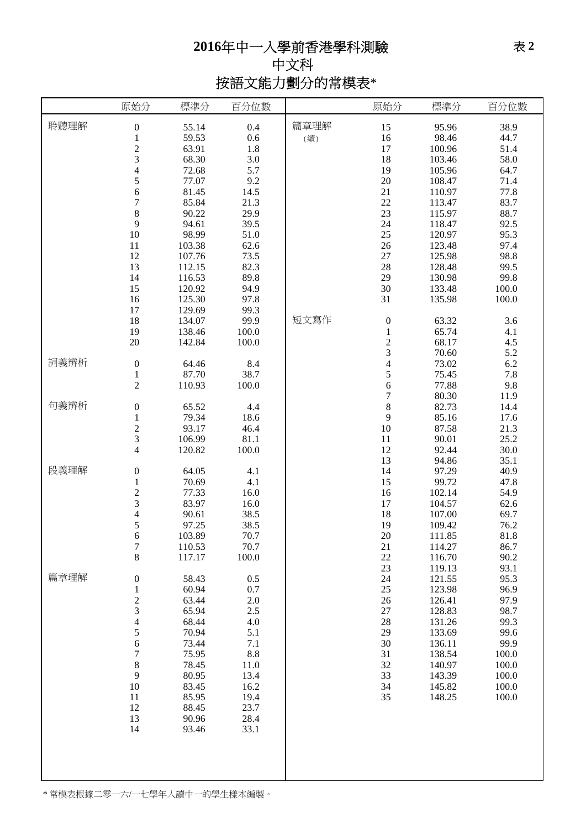## **2016**年中一入學前香港學科測驗 中文科 按語文能力劃分的常模表\*

|      | 原始分                                             | 標準分                     | 百分位數              |             | 原始分                 | 標準分                      | 百分位數                 |
|------|-------------------------------------------------|-------------------------|-------------------|-------------|---------------------|--------------------------|----------------------|
| 聆聽理解 | $\boldsymbol{0}$<br>$\frac{1}{2}$               | 55.14<br>59.53<br>63.91 | 0.4<br>0.6<br>1.8 | 篇章理解<br>(續) | 15<br>16<br>17      | 95.96<br>98.46<br>100.96 | 38.9<br>44.7<br>51.4 |
|      |                                                 | 68.30                   | 3.0               |             | 18                  | 103.46                   | 58.0                 |
|      | $\overline{\mathcal{L}}$                        | 72.68                   | 5.7               |             | 19                  | 105.96                   | 64.7                 |
|      | 5<br>6                                          | 77.07<br>81.45          | 9.2<br>14.5       |             | $20\,$<br>21        | 108.47<br>110.97         | 71.4<br>77.8         |
|      | $\overline{7}$                                  | 85.84                   | 21.3              |             | 22                  | 113.47                   | 83.7                 |
|      | 8                                               | 90.22                   | 29.9              |             | 23                  | 115.97                   | 88.7                 |
|      | 9<br>10                                         | 94.61<br>98.99          | 39.5<br>51.0      |             | 24<br>$25\,$        | 118.47<br>120.97         | 92.5<br>95.3         |
|      | 11                                              | 103.38                  | 62.6              |             | $26\,$              | 123.48                   | 97.4                 |
|      | 12                                              | 107.76                  | 73.5              |             | 27                  | 125.98                   | 98.8                 |
|      | 13<br>14                                        | 112.15<br>116.53        | 82.3<br>89.8      |             | 28<br>29            | 128.48<br>130.98         | 99.5<br>99.8         |
|      | 15                                              | 120.92                  | 94.9              |             | 30                  | 133.48                   | 100.0                |
|      | 16<br>17                                        | 125.30<br>129.69        | 97.8              |             | 31                  | 135.98                   | 100.0                |
|      | 18                                              | 134.07                  | 99.3<br>99.9      | 短文寫作        | $\boldsymbol{0}$    | 63.32                    | 3.6                  |
|      | 19                                              | 138.46                  | 100.0             |             | $\,1\,$             | 65.74                    | 4.1                  |
|      | 20                                              | 142.84                  | 100.0             |             | $\frac{2}{3}$       | 68.17                    | 4.5                  |
| 詞義辨析 | $\boldsymbol{0}$                                | 64.46                   | 8.4               |             | $\overline{4}$      | 70.60<br>73.02           | 5.2<br>6.2           |
|      | $\mathbf{1}$                                    | 87.70                   | 38.7              |             | 5                   | 75.45                    | 7.8                  |
|      | $\overline{c}$                                  | 110.93                  | 100.0             |             | 6<br>$\overline{7}$ | 77.88<br>80.30           | 9.8<br>11.9          |
| 句義辨析 | $\boldsymbol{0}$                                | 65.52                   | 4.4               |             | $\,8$               | 82.73                    | 14.4                 |
|      | $\,1$                                           | 79.34                   | 18.6              |             | 9                   | 85.16                    | 17.6                 |
|      | $\overline{c}$<br>3                             | 93.17<br>106.99         | 46.4<br>81.1      |             | $10\,$<br>11        | 87.58<br>90.01           | 21.3<br>25.2         |
|      | $\overline{\mathcal{L}}$                        | 120.82                  | 100.0             |             | 12                  | 92.44                    | 30.0                 |
|      |                                                 |                         |                   |             | 13                  | 94.86                    | 35.1                 |
| 段義理解 | $\boldsymbol{0}$<br>$\mathbf{1}$                | 64.05<br>70.69          | 4.1<br>4.1        |             | 14<br>15            | 97.29<br>99.72           | 40.9<br>47.8         |
|      |                                                 | 77.33                   | 16.0              |             | 16                  | 102.14                   | 54.9                 |
|      |                                                 | 83.97                   | 16.0              |             | 17                  | 104.57                   | 62.6                 |
|      | $\begin{array}{c} 2 \\ 3 \\ 4 \\ 5 \end{array}$ | 90.61<br>97.25          | 38.5<br>38.5      |             | 18<br>19            | 107.00<br>109.42         | 69.7<br>76.2         |
|      | 6                                               | 103.89                  | 70.7              |             | 20                  | 111.85                   | 81.8                 |
|      | 7                                               | 110.53                  | 70.7              |             | 21                  | 114.27                   | 86.7                 |
|      | 8                                               | 117.17                  | 100.0             |             | $22\,$<br>$23\,$    | 116.70<br>119.13         | 90.2<br>93.1         |
| 篇章理解 | $\boldsymbol{0}$                                | 58.43                   | 0.5               |             | 24                  | 121.55                   | 95.3                 |
|      | $\,1$                                           | 60.94                   | 0.7               |             | 25                  | 123.98                   | 96.9                 |
|      | $\frac{2}{3}$                                   | 63.44<br>65.94          | 2.0<br>2.5        |             | 26<br>27            | 126.41<br>128.83         | 97.9<br>98.7         |
|      | $\overline{\mathcal{L}}$                        | 68.44                   | 4.0               |             | $28\,$              | 131.26                   | 99.3                 |
|      | 5                                               | 70.94                   | 5.1               |             | 29                  | 133.69<br>136.11         | 99.6<br>99.9         |
|      | 6<br>$\overline{7}$                             | 73.44<br>75.95          | 7.1<br>$8.8\,$    |             | 30<br>31            | 138.54                   | 100.0                |
|      | $\,$ $\,$                                       | 78.45                   | 11.0              |             | 32                  | 140.97                   | 100.0                |
|      | 9<br>10                                         | 80.95<br>83.45          | 13.4<br>16.2      |             | 33<br>34            | 143.39<br>145.82         | 100.0<br>100.0       |
|      | 11                                              | 85.95                   | 19.4              |             | 35                  | 148.25                   | 100.0                |
|      | 12                                              | 88.45                   | 23.7              |             |                     |                          |                      |
|      | 13<br>14                                        | 90.96<br>93.46          | 28.4<br>33.1      |             |                     |                          |                      |
|      |                                                 |                         |                   |             |                     |                          |                      |
|      |                                                 |                         |                   |             |                     |                          |                      |
|      |                                                 |                         |                   |             |                     |                          |                      |
|      |                                                 |                         |                   |             |                     |                          |                      |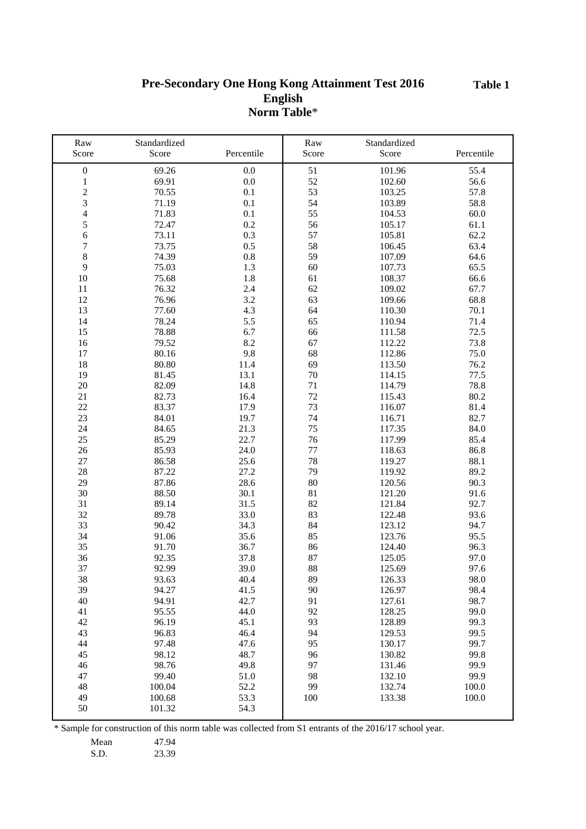#### **Pre-Secondary One Hong Kong Attainment Test 2016 English Norm Table**\*

| Raw              | Standardized |            | Raw    | Standardized |            |
|------------------|--------------|------------|--------|--------------|------------|
| Score            | Score        | Percentile | Score  | Score        | Percentile |
| $\boldsymbol{0}$ | 69.26        | $0.0\,$    | 51     | 101.96       | 55.4       |
| $\mathbf{1}$     | 69.91        | $0.0\,$    | 52     | 102.60       | 56.6       |
| $\overline{c}$   | 70.55        | 0.1        | 53     | 103.25       | 57.8       |
| 3                | 71.19        | 0.1        | 54     | 103.89       | 58.8       |
| $\overline{4}$   | 71.83        | 0.1        | 55     | 104.53       | 60.0       |
| 5                | 72.47        | 0.2        | 56     | 105.17       | 61.1       |
| 6                | 73.11        | 0.3        | 57     | 105.81       | 62.2       |
| 7                | 73.75        | 0.5        | 58     | 106.45       | 63.4       |
| 8                | 74.39        | 0.8        | 59     | 107.09       | 64.6       |
| 9                | 75.03        | 1.3        | 60     | 107.73       | 65.5       |
| 10               | 75.68        | 1.8        | 61     | 108.37       | 66.6       |
| 11               | 76.32        | 2.4        | 62     | 109.02       | 67.7       |
| 12               | 76.96        | 3.2        | 63     | 109.66       | 68.8       |
| 13               | 77.60        | 4.3        | 64     | 110.30       | 70.1       |
| 14               | 78.24        | 5.5        | 65     | 110.94       | 71.4       |
| 15               | 78.88        | 6.7        | 66     | 111.58       | 72.5       |
| 16               | 79.52        | 8.2        | 67     | 112.22       | 73.8       |
| 17               | 80.16        | 9.8        | 68     | 112.86       | 75.0       |
| 18               | 80.80        | 11.4       | 69     | 113.50       | 76.2       |
| 19               | 81.45        | 13.1       | $70\,$ | 114.15       | 77.5       |
| 20               | 82.09        | 14.8       | 71     | 114.79       | 78.8       |
| 21               | 82.73        | 16.4       | 72     | 115.43       | 80.2       |
| 22               | 83.37        | 17.9       | 73     | 116.07       | 81.4       |
| 23               | 84.01        | 19.7       | 74     | 116.71       | 82.7       |
| 24               | 84.65        | 21.3       | 75     | 117.35       | 84.0       |
| 25               | 85.29        | 22.7       | 76     | 117.99       | 85.4       |
| 26               | 85.93        | 24.0       | 77     | 118.63       | 86.8       |
| 27               | 86.58        | 25.6       | 78     | 119.27       | 88.1       |
| 28               | 87.22        | 27.2       | 79     | 119.92       | 89.2       |
| 29               | 87.86        | 28.6       | 80     | 120.56       | 90.3       |
| 30               | 88.50        | 30.1       | 81     | 121.20       | 91.6       |
| 31               | 89.14        | 31.5       | 82     | 121.84       | 92.7       |
| 32               | 89.78        | 33.0       | 83     | 122.48       | 93.6       |
| 33               | 90.42        | 34.3       | 84     | 123.12       | 94.7       |
| 34               | 91.06        | 35.6       | 85     | 123.76       | 95.5       |
| 35               | 91.70        | 36.7       | 86     | 124.40       | 96.3       |
| 36               | 92.35        | 37.8       | 87     | 125.05       | 97.0       |
| 37               | 92.99        | 39.0       | 88     | 125.69       | 97.6       |
| 38               | 93.63        | 40.4       | 89     | 126.33       | 98.0       |
| 39               | 94.27        | 41.5       | 90     | 126.97       | 98.4       |
| 40               | 94.91        | 42.7       | 91     | 127.61       | 98.7       |
| 41               | 95.55        | 44.0       | 92     | 128.25       | 99.0       |
| 42               | 96.19        | 45.1       | 93     | 128.89       | 99.3       |
| 43               | 96.83        | 46.4       | 94     | 129.53       | 99.5       |
| 44               | 97.48        | 47.6       | 95     | 130.17       | 99.7       |
| 45               | 98.12        | 48.7       | 96     | 130.82       | 99.8       |
| 46               | 98.76        | 49.8       | 97     | 131.46       | 99.9       |
| 47               | 99.40        | 51.0       | 98     | 132.10       | 99.9       |
| 48               | 100.04       | 52.2       | 99     | 132.74       | 100.0      |
| 49               | 100.68       | 53.3       | 100    | 133.38       | 100.0      |
| 50               | 101.32       | 54.3       |        |              |            |

\* Sample for construction of this norm table was collected from S1 entrants of the 2016/17 school year.

Mean 47.94<br>S.D. 23.39

23.39

**Table 1**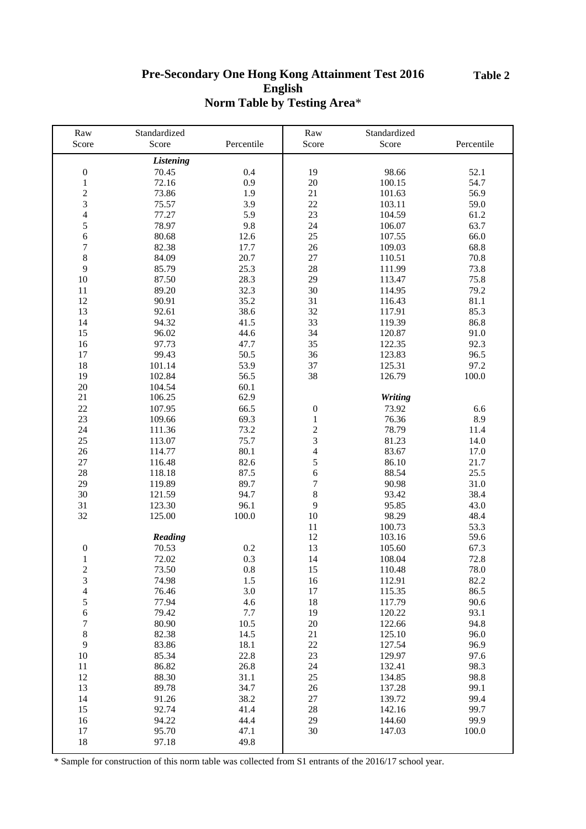#### **Table 2**

## **Pre-Secondary One Hong Kong Attainment Test 2016 English Norm Table by Testing Area**\*

| Raw                     | Standardized     |            | Raw              | Standardized   |            |
|-------------------------|------------------|------------|------------------|----------------|------------|
| Score                   | Score            | Percentile | Score            | Score          | Percentile |
|                         | <b>Listening</b> |            |                  |                |            |
| $\boldsymbol{0}$        | 70.45            | 0.4        | 19               | 98.66          | 52.1       |
| $\,1$                   | 72.16            | 0.9        | $20\,$           | 100.15         | 54.7       |
| $\overline{c}$          | 73.86            | 1.9        | 21               | 101.63         | 56.9       |
| $\overline{\mathbf{3}}$ | 75.57            | 3.9        | $22\,$           | 103.11         | 59.0       |
| $\overline{4}$          | 77.27            | 5.9        | 23               | 104.59         | 61.2       |
| 5                       | 78.97            | 9.8        | 24               | 106.07         | 63.7       |
| 6                       | 80.68            | 12.6       | 25               | 107.55         | 66.0       |
|                         |                  |            |                  |                |            |
| $\boldsymbol{7}$        | 82.38            | 17.7       | 26               | 109.03         | 68.8       |
| 8                       | 84.09            | 20.7       | 27               | 110.51         | 70.8       |
| 9                       | 85.79            | 25.3       | 28               | 111.99         | 73.8       |
| 10                      | 87.50            | 28.3       | 29               | 113.47         | 75.8       |
| 11                      | 89.20            | 32.3       | 30               | 114.95         | 79.2       |
| 12                      | 90.91            | 35.2       | 31               | 116.43         | 81.1       |
| 13                      | 92.61            | 38.6       | 32               | 117.91         | 85.3       |
| 14                      | 94.32            | 41.5       | 33               | 119.39         | 86.8       |
| 15                      | 96.02            | 44.6       | 34               | 120.87         | 91.0       |
| 16                      | 97.73            | 47.7       | 35               | 122.35         | 92.3       |
| 17                      | 99.43            | 50.5       | 36               | 123.83         | 96.5       |
| 18                      | 101.14           | 53.9       | 37               | 125.31         | 97.2       |
| 19                      | 102.84           | 56.5       | 38               | 126.79         | 100.0      |
| 20                      | 104.54           | 60.1       |                  |                |            |
| 21                      | 106.25           | 62.9       |                  | <b>Writing</b> |            |
| 22                      | 107.95           | 66.5       | $\boldsymbol{0}$ | 73.92          | 6.6        |
| 23                      | 109.66           | 69.3       | $\,1\,$          | 76.36          | 8.9        |
| 24                      | 111.36           | 73.2       | $\frac{2}{3}$    | 78.79          | 11.4       |
| 25                      | 113.07           | 75.7       |                  | 81.23          | 14.0       |
| 26                      | 114.77           | 80.1       | $\overline{4}$   | 83.67          | 17.0       |
| 27                      | 116.48           | 82.6       | 5                | 86.10          | 21.7       |
| 28                      | 118.18           | 87.5       | 6                | 88.54          | 25.5       |
| 29                      | 119.89           | 89.7       | $\sqrt{ }$       | 90.98          | 31.0       |
| 30                      | 121.59           | 94.7       | $\,8$            | 93.42          | 38.4       |
| 31                      | 123.30           | 96.1       | 9                | 95.85          | 43.0       |
| 32                      | 125.00           | 100.0      | 10               | 98.29          | 48.4       |
|                         |                  |            | 11               | 100.73         | 53.3       |
|                         | Reading          |            | 12               | 103.16         | 59.6       |
| $\boldsymbol{0}$        | 70.53            | 0.2        | 13               | 105.60         | 67.3       |
| $\mathbf{1}$            | 72.02            | 0.3        | 14               | 108.04         | 72.8       |
| 2                       | 73.50            | 0.8        | 15               | 110.48         | 78.0       |
| 3                       | 74.98            | 1.5        | 16               | 112.91         | 82.2       |
| $\overline{4}$          | 76.46            | 3.0        | 17               | 115.35         | 86.5       |
| 5                       | 77.94            | 4.6        | 18               | 117.79         | 90.6       |
| $\boldsymbol{6}$        | 79.42            | 7.7        | 19               | 120.22         | 93.1       |
| $\boldsymbol{7}$        | 80.90            | 10.5       | 20               | 122.66         | 94.8       |
| $\,$ 8 $\,$             | 82.38            | 14.5       | 21               | 125.10         | 96.0       |
| 9                       | 83.86            | 18.1       | $22\,$           | 127.54         | 96.9       |
| 10                      | 85.34            | 22.8       | 23               | 129.97         | 97.6       |
| 11                      | 86.82            | 26.8       | 24               | 132.41         | 98.3       |
| 12                      | 88.30            | 31.1       | 25               | 134.85         | 98.8       |
| 13                      | 89.78            | 34.7       | 26               | 137.28         | 99.1       |
| 14                      | 91.26            | 38.2       | 27               | 139.72         | 99.4       |
| 15                      | 92.74            | 41.4       | 28               | 142.16         | 99.7       |
| 16                      | 94.22            | 44.4       | 29               | 144.60         | 99.9       |
| 17                      | 95.70            | 47.1       | 30               | 147.03         | 100.0      |
| 18                      | 97.18            | 49.8       |                  |                |            |
|                         |                  |            |                  |                |            |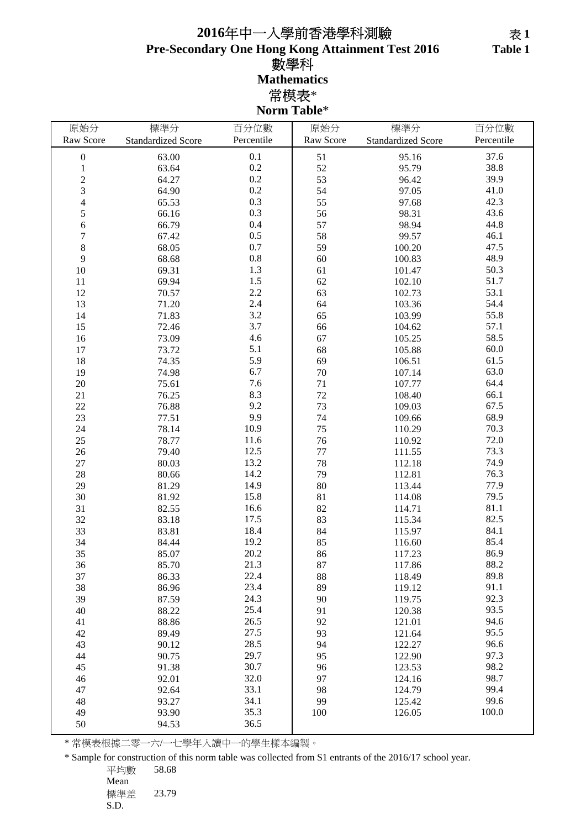## **Pre-Secondary One Hong Kong Attainment Test 2016 2016**年中一入學前香港學科測驗 數學科 **Mathematics** 常模表\* **Norm Table**\*

| 原始分                      | 標準分                       | 百分位數       | 原始分       | 標準分                       | 百分位數       |
|--------------------------|---------------------------|------------|-----------|---------------------------|------------|
| Raw Score                | <b>Standardized Score</b> | Percentile | Raw Score | <b>Standardized Score</b> | Percentile |
| $\boldsymbol{0}$         | 63.00                     | 0.1        | 51        | 95.16                     | 37.6       |
| $\mathbf{1}$             | 63.64                     | 0.2        | 52        | 95.79                     | 38.8       |
| $\overline{c}$           | 64.27                     | 0.2        | 53        | 96.42                     | 39.9       |
| 3                        | 64.90                     | $0.2\,$    | 54        | 97.05                     | 41.0       |
| $\overline{\mathcal{L}}$ | 65.53                     | 0.3        | 55        | 97.68                     | 42.3       |
| 5                        | 66.16                     | 0.3        | 56        | 98.31                     | 43.6       |
| 6                        | 66.79                     | 0.4        | 57        | 98.94                     | 44.8       |
| $\overline{7}$           | 67.42                     | 0.5        | 58        | 99.57                     | 46.1       |
| 8                        | 68.05                     | 0.7        | 59        | 100.20                    | 47.5       |
| 9                        | 68.68                     | $0.8\,$    | 60        | 100.83                    | 48.9       |
| 10                       | 69.31                     | 1.3        | 61        | 101.47                    | 50.3       |
| 11                       | 69.94                     | 1.5        | 62        | 102.10                    | 51.7       |
| 12                       | 70.57                     | 2.2        | 63        | 102.73                    | 53.1       |
| 13                       | 71.20                     | 2.4        | 64        | 103.36                    | 54.4       |
| 14                       | 71.83                     | 3.2        | 65        | 103.99                    | 55.8       |
| 15                       | 72.46                     | 3.7        | 66        | 104.62                    | 57.1       |
| 16                       | 73.09                     | 4.6        | 67        | 105.25                    | 58.5       |
| 17                       | 73.72                     | 5.1        | 68        | 105.88                    | 60.0       |
| 18                       | 74.35                     | 5.9        | 69        | 106.51                    | 61.5       |
| 19                       | 74.98                     | 6.7        | 70        | 107.14                    | 63.0       |
| 20                       | 75.61                     | 7.6        | 71        | 107.77                    | 64.4       |
| 21                       | 76.25                     | 8.3        | 72        | 108.40                    | 66.1       |
| 22                       | 76.88                     | 9.2        | 73        | 109.03                    | 67.5       |
| 23                       | 77.51                     | 9.9        | 74        | 109.66                    | 68.9       |
| 24                       | 78.14                     | 10.9       | 75        | 110.29                    | 70.3       |
| 25                       | 78.77                     | 11.6       | 76        | 110.92                    | 72.0       |
| 26                       | 79.40                     | 12.5       | 77        | 111.55                    | 73.3       |
| 27                       | 80.03                     | 13.2       | 78        | 112.18                    | 74.9       |
| 28                       | 80.66                     | 14.2       | 79        | 112.81                    | 76.3       |
| 29                       | 81.29                     | 14.9       | 80        | 113.44                    | 77.9       |
| 30                       | 81.92                     | 15.8       | 81        | 114.08                    | 79.5       |
| 31                       | 82.55                     | 16.6       | 82        | 114.71                    | 81.1       |
| 32                       | 83.18                     | 17.5       | 83        | 115.34                    | 82.5       |
| 33                       | 83.81                     | 18.4       | 84        | 115.97                    | 84.1       |
| 34                       | 84.44                     | 19.2       | 85        | 116.60                    | 85.4       |
| 35                       | 85.07                     | 20.2       | 86        | 117.23                    | 86.9       |
| 36                       | 85.70                     | 21.3       | 87        | 117.86                    | 88.2       |
| 37                       | 86.33                     | 22.4       | 88        | 118.49                    | 89.8       |
| 38                       | 86.96                     | 23.4       | 89        | 119.12                    | 91.1       |
| 39                       | 87.59                     | 24.3       | 90        | 119.75                    | 92.3       |
| 40                       | 88.22                     | 25.4       | 91        | 120.38                    | 93.5       |
| 41                       | 88.86                     | 26.5       | 92        | 121.01                    | 94.6       |
| 42                       | 89.49                     | 27.5       | 93        | 121.64                    | 95.5       |
| 43                       | 90.12                     | 28.5       | 94        | 122.27                    | 96.6       |
| 44                       | 90.75                     | 29.7       | 95        | 122.90                    | 97.3       |
| 45                       | 91.38                     | 30.7       | 96        | 123.53                    | 98.2       |
| 46                       | 92.01                     | 32.0       | 97        | 124.16                    | 98.7       |
| 47                       | 92.64                     | 33.1       | 98        | 124.79                    | 99.4       |
| 48                       | 93.27                     | 34.1       | 99        | 125.42                    | 99.6       |
| 49                       | 93.90                     | 35.3       | 100       | 126.05                    | 100.0      |
| 50                       | 94.53                     | 36.5       |           |                           |            |

\* 常模表根據二零一六/一七學年入讀中一的學生樣本編製。

\* Sample for construction of this norm table was collected from S1 entrants of the 2016/17 school year.

平均數 58.68 Mean 標準差 23.79 S.D.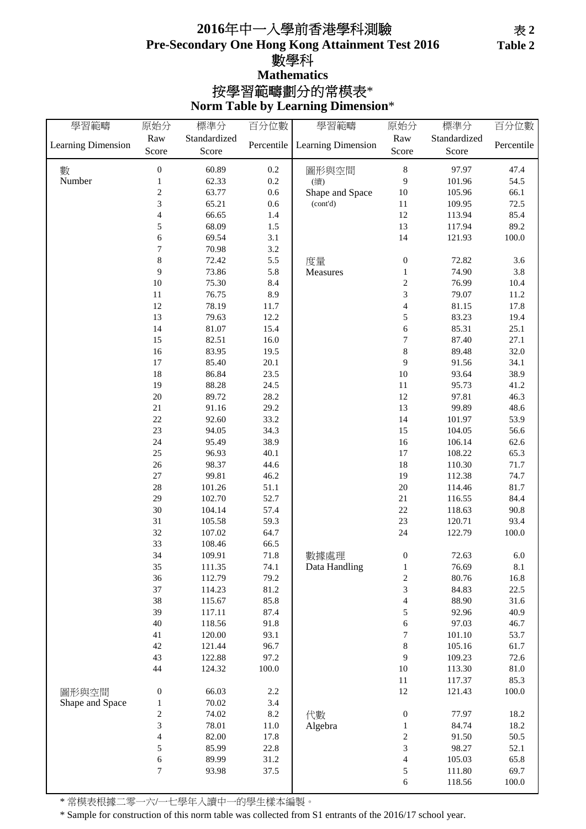## **Pre-Secondary One Hong Kong Attainment Test 2016** 數學科 **Norm Table by Learning Dimension**\* 按學習範疇劃分的常模表\* **Mathematics 2016**年中一入學前香港學科測驗

| 學習範疇               | 原始分                      | 標準分          | 百分位數       | 學習範疇               | 原始分                      | 標準分          | 百分位數       |
|--------------------|--------------------------|--------------|------------|--------------------|--------------------------|--------------|------------|
|                    | Raw                      | Standardized |            |                    | Raw                      | Standardized |            |
| Learning Dimension | Score                    | Score        | Percentile | Learning Dimension | Score                    | Score        | Percentile |
|                    |                          |              |            |                    |                          |              |            |
| 數<br>Number        | $\boldsymbol{0}$         | 60.89        | $0.2\,$    | 圖形與空間              | $\,$ 8 $\,$<br>9         | 97.97        | 47.4       |
|                    | $\mathbf{1}$             | 62.33        | 0.2        | (續)                |                          | 101.96       | 54.5       |
|                    | $\boldsymbol{2}$         | 63.77        | 0.6        | Shape and Space    | 10                       | 105.96       | 66.1       |
|                    | 3                        | 65.21        | 0.6        | (cont'd)           | $11\,$                   | 109.95       | 72.5       |
|                    | $\overline{\mathcal{A}}$ | 66.65        | 1.4        |                    | 12                       | 113.94       | 85.4       |
|                    | 5                        | 68.09        | 1.5        |                    | 13                       | 117.94       | 89.2       |
|                    | 6                        | 69.54        | 3.1        |                    | 14                       | 121.93       | 100.0      |
|                    | 7                        | 70.98        | 3.2        |                    |                          |              |            |
|                    | $\,8\,$                  | 72.42        | 5.5        | 度量                 | $\boldsymbol{0}$         | 72.82        | 3.6        |
|                    | 9                        | 73.86        | 5.8        | Measures           | $\mathbf{1}$             | 74.90        | 3.8        |
|                    | $10\,$                   | 75.30        | 8.4        |                    | $\overline{c}$           | 76.99        | 10.4       |
|                    | 11                       | 76.75        | 8.9        |                    | 3                        | 79.07        | 11.2       |
|                    | 12                       | 78.19        | 11.7       |                    | $\overline{\mathcal{L}}$ | 81.15        | 17.8       |
|                    | 13                       | 79.63        | 12.2       |                    | 5                        | 83.23        | 19.4       |
|                    | 14                       | 81.07        | 15.4       |                    | 6                        | 85.31        | 25.1       |
|                    | 15                       | 82.51        | 16.0       |                    | 7                        | 87.40        | 27.1       |
|                    | 16                       | 83.95        | 19.5       |                    | 8                        | 89.48        | 32.0       |
|                    | $17\,$                   | 85.40        | 20.1       |                    | 9                        | 91.56        | 34.1       |
|                    | $18\,$                   | 86.84        | 23.5       |                    | 10                       | 93.64        | 38.9       |
|                    | 19                       | 88.28        | 24.5       |                    | 11                       | 95.73        | 41.2       |
|                    | 20                       | 89.72        | 28.2       |                    | 12                       | 97.81        | 46.3       |
|                    | 21                       | 91.16        | 29.2       |                    | 13                       | 99.89        | 48.6       |
|                    | $22\,$                   | 92.60        | 33.2       |                    | 14                       | 101.97       | 53.9       |
|                    | 23                       | 94.05        | 34.3       |                    | 15                       | 104.05       | 56.6       |
|                    | 24                       | 95.49        | 38.9       |                    | 16                       | 106.14       | 62.6       |
|                    | 25                       | 96.93        | 40.1       |                    | 17                       | 108.22       | 65.3       |
|                    | 26                       | 98.37        | 44.6       |                    | 18                       | 110.30       | 71.7       |
|                    | 27                       | 99.81        | 46.2       |                    | 19                       | 112.38       | 74.7       |
|                    | $28\,$                   | 101.26       | 51.1       |                    | $20\,$                   | 114.46       | 81.7       |
|                    | 29                       | 102.70       | 52.7       |                    | $21\,$                   | 116.55       | 84.4       |
|                    | $30\,$                   | 104.14       | 57.4       |                    | $22\,$                   | 118.63       | 90.8       |
|                    | 31                       | 105.58       | 59.3       |                    | 23                       | 120.71       | 93.4       |
|                    | 32                       | 107.02       | 64.7       |                    | 24                       | 122.79       | 100.0      |
|                    | 33                       | 108.46       | 66.5       |                    |                          |              |            |
|                    | 34                       | 109.91       | 71.8       | 數據處理               | $\boldsymbol{0}$         | 72.63        | $6.0\,$    |
|                    | 35                       | 111.35       | 74.1       | Data Handling      | $\,1$                    | 76.69        | 8.1        |
|                    | 36                       | 112.79       | 79.2       |                    | $\overline{c}$           | 80.76        | 16.8       |
|                    | 37                       | 114.23       | 81.2       |                    | 3                        | 84.83        | 22.5       |
|                    | 38                       | 115.67       | 85.8       |                    | $\overline{\mathcal{L}}$ | 88.90        | 31.6       |
|                    | 39                       | 117.11       | 87.4       |                    | 5                        | 92.96        | 40.9       |
|                    | 40                       | 118.56       | 91.8       |                    | 6                        | 97.03        | 46.7       |
|                    | 41                       | 120.00       | 93.1       |                    | 7                        | 101.10       | 53.7       |
|                    | 42                       | 121.44       | 96.7       |                    | 8                        | 105.16       | 61.7       |
|                    | 43                       | 122.88       | 97.2       |                    | 9                        | 109.23       | 72.6       |
|                    | 44                       | 124.32       | 100.0      |                    | $10\,$                   | 113.30       | $81.0\,$   |
|                    |                          |              |            |                    | 11                       | 117.37       | 85.3       |
| 圖形與空間              | $\boldsymbol{0}$         | 66.03        | 2.2        |                    | 12                       | 121.43       | 100.0      |
| Shape and Space    | $\mathbf{1}$             | 70.02        | 3.4        |                    |                          |              |            |
|                    | $\overline{c}$           | 74.02        | 8.2        | 代數                 | $\boldsymbol{0}$         | 77.97        | 18.2       |
|                    | 3                        | 78.01        | 11.0       | Algebra            | $\,1$                    | 84.74        | 18.2       |
|                    | $\overline{\mathcal{A}}$ | 82.00        | 17.8       |                    | $\overline{\mathbf{c}}$  | 91.50        | 50.5       |
|                    | 5                        | 85.99        | 22.8       |                    | 3                        | 98.27        | 52.1       |
|                    | 6                        | 89.99        | 31.2       |                    | $\overline{\mathcal{L}}$ | 105.03       | 65.8       |
|                    | 7                        | 93.98        | 37.5       |                    | 5                        | 111.80       | 69.7       |
|                    |                          |              |            |                    | 6                        | 118.56       | 100.0      |

\* 常模表根據二零一六/一七學年入讀中一的學生樣本編製。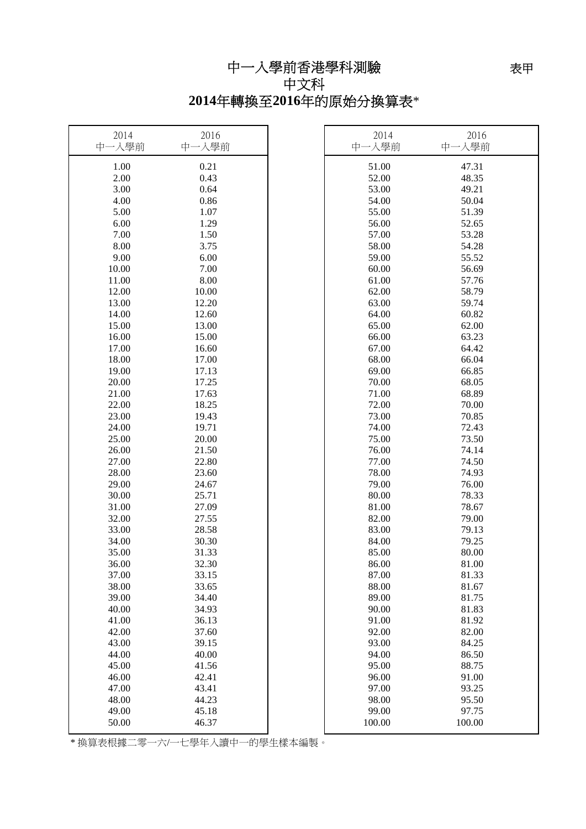中一入學前香港學科測驗

## 中文科 **2014**年轉換至**2016**年的原始分換算表\*

| 2014<br>中一入學前 | 2016<br>中一入學前 | 2014<br>中一入學前 | 2016<br>中一入學前 |
|---------------|---------------|---------------|---------------|
| 1.00          | 0.21          | 51.00         | 47.31         |
| 2.00          | 0.43          | 52.00         | 48.35         |
| 3.00          | 0.64          | 53.00         | 49.21         |
| 4.00          | 0.86          | 54.00         | 50.04         |
| 5.00          | 1.07          | 55.00         | 51.39         |
| 6.00          | 1.29          | 56.00         | 52.65         |
| 7.00          | 1.50          | 57.00         | 53.28         |
| 8.00          | 3.75          | 58.00         | 54.28         |
| 9.00          | 6.00          | 59.00         | 55.52         |
| 10.00         | 7.00          | 60.00         | 56.69         |
| 11.00         | 8.00          | 61.00         | 57.76         |
| 12.00         | 10.00         | 62.00         | 58.79         |
| 13.00         | 12.20         | 63.00         | 59.74         |
| 14.00         | 12.60         | 64.00         | 60.82         |
| 15.00         | 13.00         | 65.00         | 62.00         |
| 16.00         | 15.00         | 66.00         | 63.23         |
| 17.00         | 16.60         | 67.00         | 64.42         |
| 18.00         | 17.00         | 68.00         | 66.04         |
| 19.00         | 17.13         | 69.00         | 66.85         |
| 20.00         | 17.25         | 70.00         | 68.05         |
| 21.00         | 17.63         | 71.00         | 68.89         |
| 22.00         | 18.25         | 72.00         | 70.00         |
| 23.00         | 19.43         | 73.00         | 70.85         |
| 24.00         | 19.71         | 74.00         | 72.43         |
| 25.00         | 20.00         | 75.00         | 73.50         |
| 26.00         | 21.50         | 76.00         | 74.14         |
| 27.00         | 22.80         | 77.00         | 74.50         |
| 28.00         | 23.60         | 78.00         | 74.93         |
| 29.00         | 24.67         | 79.00         | 76.00         |
| 30.00         | 25.71         | 80.00         | 78.33         |
| 31.00         | 27.09         | 81.00         | 78.67         |
| 32.00         | 27.55         | 82.00         | 79.00         |
| 33.00         | 28.58         | 83.00         | 79.13         |
| 34.00         | 30.30         | 84.00         | 79.25         |
| 35.00         | 31.33         | 85.00         | 80.00         |
| 36.00         | 32.30         | 86.00         | 81.00         |
| 37.00         | 33.15         | 87.00         | 81.33         |
| 38.00         | 33.65         | 88.00         | 81.67         |
| 39.00         | 34.40         | 89.00         | 81.75         |
| 40.00         | 34.93         | 90.00         | 81.83         |
| 41.00         | 36.13         | 91.00         | 81.92         |
| 42.00         | 37.60         | 92.00         | 82.00         |
| 43.00         | 39.15         | 93.00         | 84.25         |
| 44.00         | 40.00         | 94.00         | 86.50         |
| 45.00         | 41.56         | 95.00         | 88.75         |
| 46.00         | 42.41         | 96.00         | 91.00         |
| 47.00         | 43.41         | 97.00         | 93.25         |
| 48.00         | 44.23         | 98.00         | 95.50         |
| 49.00         | 45.18         | 99.00         | 97.75         |
| 50.00         | 46.37         | 100.00        | 100.00        |

\* 換算表根據二零一六/一七學年入讀中一的學生樣本編製。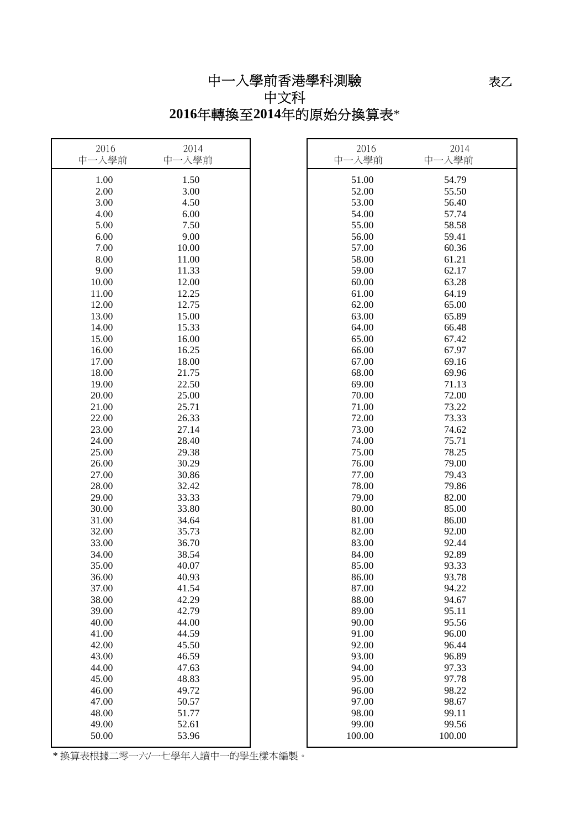## 中一入學前香港學科測驗 中文科

# **2016**年轉換至**2014**年的原始分換算表\*

| 2016<br>中一入學前 | 2014<br>中一入學前 | 2016<br>中一入學前 | 2014<br>中一入學前 |
|---------------|---------------|---------------|---------------|
| 1.00          | 1.50          | 51.00         | 54.79         |
| 2.00          | 3.00          | 52.00         | 55.50         |
| 3.00          | 4.50          | 53.00         | 56.40         |
| 4.00          | 6.00          | 54.00         | 57.74         |
| 5.00          | 7.50          | 55.00         | 58.58         |
| 6.00          | 9.00          | 56.00         | 59.41         |
| 7.00          | 10.00         | 57.00         | 60.36         |
| 8.00          | 11.00         | 58.00         | 61.21         |
| 9.00          | 11.33         | 59.00         | 62.17         |
| 10.00         | 12.00         | 60.00         | 63.28         |
| 11.00         | 12.25         | 61.00         | 64.19         |
| 12.00         | 12.75         | 62.00         | 65.00         |
| 13.00         | 15.00         | 63.00         | 65.89         |
| 14.00         | 15.33         | 64.00         | 66.48         |
| 15.00         | 16.00         | 65.00         | 67.42         |
| 16.00         | 16.25         | 66.00         | 67.97         |
| 17.00         | 18.00         | 67.00         | 69.16         |
| 18.00         | 21.75         | 68.00         | 69.96         |
| 19.00         | 22.50         | 69.00         | 71.13         |
| 20.00         | 25.00         | 70.00         | 72.00         |
| 21.00         | 25.71         | 71.00         | 73.22         |
| 22.00         | 26.33         | 72.00         | 73.33         |
| 23.00         | 27.14         | 73.00         | 74.62         |
| 24.00         | 28.40         | 74.00         | 75.71         |
| 25.00         | 29.38         | 75.00         | 78.25         |
| 26.00         | 30.29         | 76.00         | 79.00         |
| 27.00         | 30.86         | 77.00         | 79.43         |
| 28.00         | 32.42         | 78.00         | 79.86         |
| 29.00         | 33.33         | 79.00         | 82.00         |
| 30.00         | 33.80         | 80.00         | 85.00         |
| 31.00         | 34.64         | 81.00         | 86.00         |
| 32.00         | 35.73         | 82.00         | 92.00         |
| 33.00         | 36.70         | 83.00         | 92.44         |
| 34.00         | 38.54         | 84.00         | 92.89         |
| 35.00         | 40.07         | 85.00         | 93.33         |
| 36.00         | 40.93         | 86.00         | 93.78         |
| 37.00         | 41.54         | 87.00         | 94.22         |
| 38.00         | 42.29         | 88.00         | 94.67         |
| 39.00         | 42.79         | 89.00         | 95.11         |
| 40.00         | 44.00         | 90.00         | 95.56         |
| 41.00         | 44.59         | 91.00         | 96.00         |
| 42.00         | 45.50         | 92.00         | 96.44         |
| 43.00         | 46.59         | 93.00         | 96.89         |
| 44.00         | 47.63         | 94.00         | 97.33         |
| 45.00         | 48.83         | 95.00         | 97.78         |
| 46.00         | 49.72         | 96.00         | 98.22         |
| 47.00         | 50.57         | 97.00         | 98.67         |
| 48.00         | 51.77         | 98.00         | 99.11         |
| 49.00         | 52.61         | 99.00         | 99.56         |
| 50.00         | 53.96         | 100.00        | 100.00        |

\* 換算表根據二零一六/一七學年入讀中一的學生樣本編製。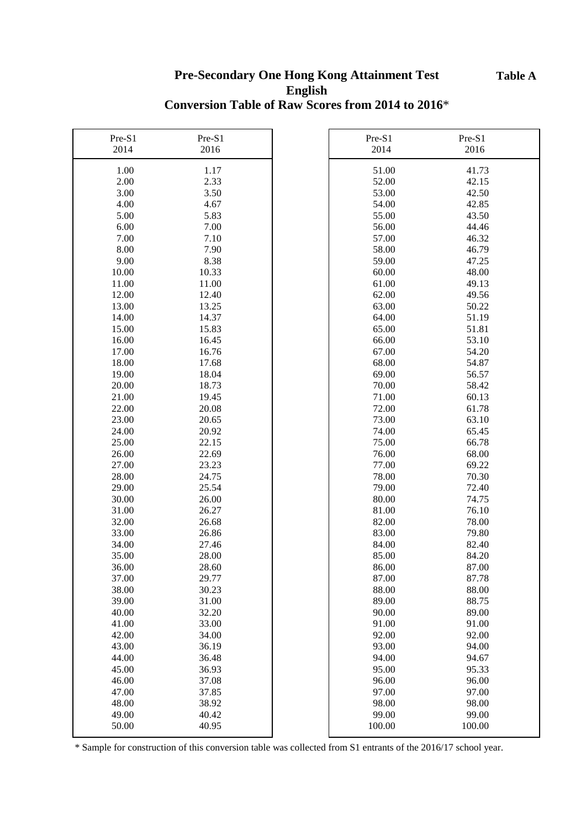#### **Table A**

## **Pre-Secondary One Hong Kong Attainment Test English Conversion Table of Raw Scores from 2014 to 2016**\*

| Pre-S1 | Pre-S1 | Pre-S1 | Pre-S1 |
|--------|--------|--------|--------|
| 2014   | 2016   | 2014   | 2016   |
| 1.00   | 1.17   | 51.00  | 41.73  |
| 2.00   | 2.33   | 52.00  | 42.15  |
| 3.00   | 3.50   | 53.00  | 42.50  |
| 4.00   | 4.67   | 54.00  | 42.85  |
| 5.00   | 5.83   | 55.00  | 43.50  |
| 6.00   | 7.00   | 56.00  | 44.46  |
| 7.00   | 7.10   | 57.00  | 46.32  |
| 8.00   | 7.90   | 58.00  | 46.79  |
| 9.00   | 8.38   | 59.00  | 47.25  |
| 10.00  | 10.33  | 60.00  | 48.00  |
| 11.00  | 11.00  | 61.00  | 49.13  |
| 12.00  | 12.40  | 62.00  | 49.56  |
| 13.00  | 13.25  | 63.00  | 50.22  |
| 14.00  | 14.37  | 64.00  | 51.19  |
| 15.00  | 15.83  | 65.00  | 51.81  |
| 16.00  | 16.45  | 66.00  | 53.10  |
| 17.00  | 16.76  | 67.00  | 54.20  |
| 18.00  | 17.68  | 68.00  | 54.87  |
| 19.00  | 18.04  | 69.00  | 56.57  |
| 20.00  | 18.73  | 70.00  | 58.42  |
| 21.00  | 19.45  | 71.00  | 60.13  |
| 22.00  | 20.08  | 72.00  | 61.78  |
| 23.00  | 20.65  | 73.00  | 63.10  |
| 24.00  | 20.92  | 74.00  | 65.45  |
| 25.00  | 22.15  | 75.00  | 66.78  |
| 26.00  | 22.69  | 76.00  | 68.00  |
| 27.00  | 23.23  | 77.00  | 69.22  |
| 28.00  | 24.75  | 78.00  | 70.30  |
| 29.00  | 25.54  | 79.00  | 72.40  |
| 30.00  | 26.00  | 80.00  | 74.75  |
| 31.00  | 26.27  | 81.00  | 76.10  |
| 32.00  | 26.68  | 82.00  | 78.00  |
| 33.00  | 26.86  | 83.00  | 79.80  |
| 34.00  | 27.46  | 84.00  | 82.40  |
| 35.00  | 28.00  | 85.00  | 84.20  |
| 36.00  | 28.60  | 86.00  | 87.00  |
| 37.00  | 29.77  | 87.00  | 87.78  |
| 38.00  | 30.23  | 88.00  | 88.00  |
| 39.00  | 31.00  | 89.00  | 88.75  |
| 40.00  | 32.20  | 90.00  | 89.00  |
| 41.00  | 33.00  | 91.00  | 91.00  |
| 42.00  | 34.00  | 92.00  | 92.00  |
| 43.00  | 36.19  | 93.00  | 94.00  |
| 44.00  | 36.48  | 94.00  | 94.67  |
| 45.00  | 36.93  | 95.00  | 95.33  |
| 46.00  | 37.08  | 96.00  | 96.00  |
| 47.00  | 37.85  | 97.00  | 97.00  |
| 48.00  | 38.92  | 98.00  | 98.00  |
| 49.00  | 40.42  | 99.00  | 99.00  |
| 50.00  | 40.95  | 100.00 | 100.00 |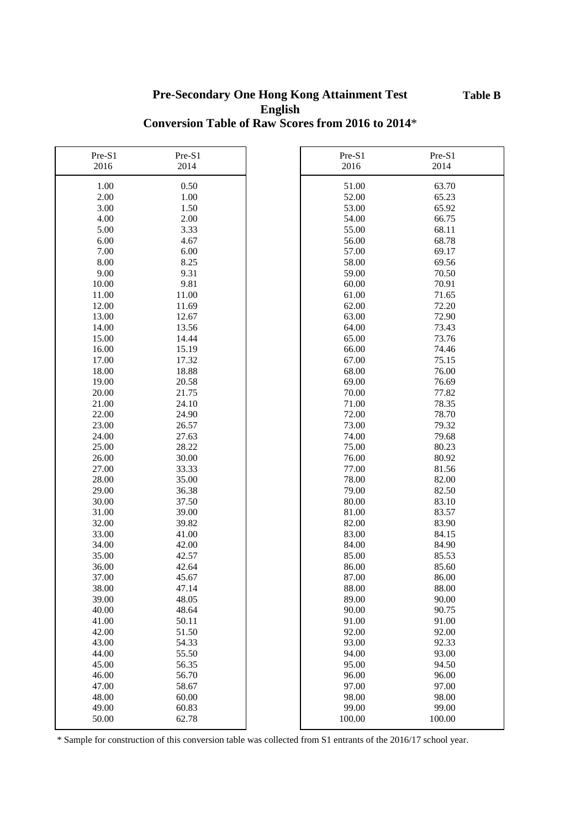#### **Pre-Secondary One Hong Kong Attainment Test English Conversion Table of Raw Scores from 2016 to 2014**\*

| Pre-S1       | Pre-S1         | Pre-S1         | Pre-S1         |
|--------------|----------------|----------------|----------------|
| 2016         | 2014           | 2016           | 2014           |
|              |                |                |                |
| 1.00<br>2.00 | 0.50<br>1.00   | 51.00<br>52.00 | 63.70<br>65.23 |
|              |                |                |                |
| 3.00         | 1.50           | 53.00          | 65.92          |
| 4.00         | 2.00           | 54.00          | 66.75          |
| 5.00         | 3.33           | 55.00          | 68.11          |
| 6.00         | 4.67           | 56.00          | 68.78          |
| 7.00         | 6.00           | 57.00          | 69.17          |
| 8.00         | 8.25           | 58.00          | 69.56          |
| 9.00         | 9.31           | 59.00          | 70.50          |
| 10.00        | 9.81           | 60.00          | 70.91          |
| 11.00        | 11.00          | 61.00          | 71.65          |
| 12.00        | 11.69          | 62.00          | 72.20          |
| 13.00        | 12.67          | 63.00          | 72.90          |
| 14.00        | 13.56          | 64.00          | 73.43          |
| 15.00        | 14.44          | 65.00          | 73.76          |
| 16.00        | 15.19          | 66.00          | 74.46          |
| 17.00        | 17.32          | 67.00          | 75.15          |
| 18.00        | 18.88          | 68.00          | 76.00          |
| 19.00        | 20.58          | 69.00          | 76.69          |
| 20.00        | 21.75          | 70.00          | 77.82          |
| 21.00        | 24.10          | 71.00          | 78.35          |
| 22.00        | 24.90          | 72.00          | 78.70          |
| 23.00        | 26.57          | 73.00          | 79.32          |
| 24.00        | 27.63          | 74.00          | 79.68          |
| 25.00        | 28.22          | 75.00          | 80.23          |
| 26.00        | 30.00          | 76.00          | 80.92          |
| 27.00        | 33.33          | 77.00          | 81.56          |
| 28.00        | 35.00          | 78.00          | 82.00          |
| 29.00        | 36.38          | 79.00          | 82.50          |
| 30.00        | 37.50          | 80.00          | 83.10          |
| 31.00        | 39.00          | 81.00          | 83.57          |
| 32.00        | 39.82          | 82.00          | 83.90          |
| 33.00        | 41.00          | 83.00          | 84.15          |
| 34.00        | 42.00          | 84.00          | 84.90          |
| 35.00        | 42.57          | 85.00          | 85.53          |
| 36.00        | 42.64          | 86.00          | 85.60          |
| 37.00        | 45.67          | 87.00          | 86.00          |
| 38.00        |                | 88.00          | 88.00          |
| 39.00        | 47.14<br>48.05 | 89.00          | 90.00          |
|              |                |                | 90.75          |
| 40.00        | 48.64          | 90.00          |                |
| 41.00        | 50.11          | 91.00          | 91.00          |
| 42.00        | 51.50          | 92.00          | 92.00          |
| 43.00        | 54.33          | 93.00          | 92.33          |
| 44.00        | 55.50          | 94.00          | 93.00          |
| 45.00        | 56.35          | 95.00          | 94.50          |
| 46.00        | 56.70          | 96.00          | 96.00          |
| 47.00        | 58.67          | 97.00          | 97.00          |
| 48.00        | 60.00          | 98.00          | 98.00          |
| 49.00        | 60.83          | 99.00          | 99.00          |
| 50.00        | 62.78          | 100.00         | 100.00         |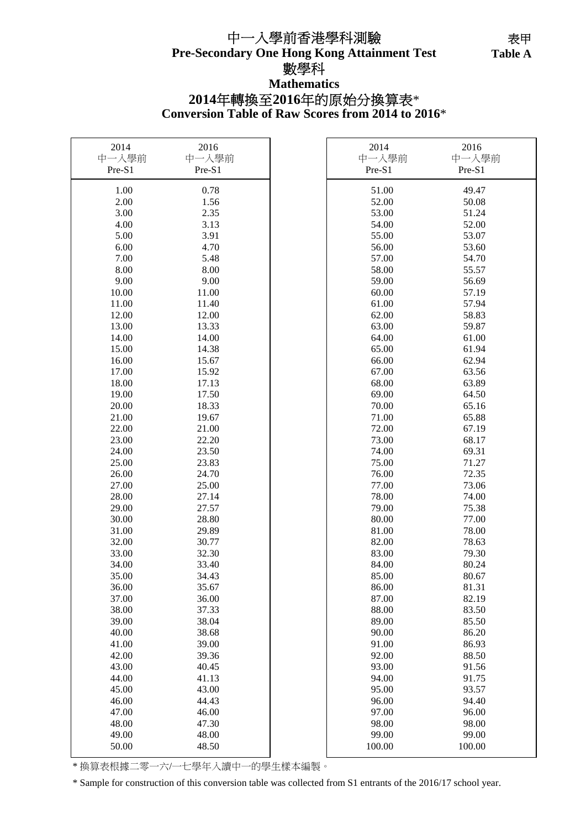## **Pre-Secondary One Hong Kong Attainment Test** 中一入學前香港學科測驗 數學科 **Mathematics**

**Table A**  表甲 Table A

# **2014**年轉換至**2016**年的原始分換算表\*

r

**Conversion Table of Raw Scores from 2014 to 2016**\*

| 2014   | 2016   | 2014   | 2016   |
|--------|--------|--------|--------|
| 中一入學前  | 中一入學前  | 中一入學前  | 中一入學前  |
| Pre-S1 | Pre-S1 | Pre-S1 | Pre-S1 |
| 1.00   | 0.78   | 51.00  | 49.47  |
| 2.00   | 1.56   | 52.00  | 50.08  |
| 3.00   | 2.35   | 53.00  | 51.24  |
| 4.00   | 3.13   | 54.00  | 52.00  |
| 5.00   | 3.91   | 55.00  | 53.07  |
| 6.00   | 4.70   | 56.00  | 53.60  |
| 7.00   | 5.48   | 57.00  | 54.70  |
| 8.00   | 8.00   | 58.00  | 55.57  |
| 9.00   | 9.00   | 59.00  | 56.69  |
| 10.00  | 11.00  | 60.00  | 57.19  |
| 11.00  | 11.40  | 61.00  | 57.94  |
| 12.00  | 12.00  | 62.00  | 58.83  |
| 13.00  | 13.33  | 63.00  | 59.87  |
| 14.00  | 14.00  | 64.00  | 61.00  |
| 15.00  | 14.38  | 65.00  | 61.94  |
| 16.00  | 15.67  | 66.00  | 62.94  |
| 17.00  | 15.92  | 67.00  | 63.56  |
| 18.00  | 17.13  | 68.00  | 63.89  |
| 19.00  | 17.50  | 69.00  | 64.50  |
| 20.00  | 18.33  | 70.00  | 65.16  |
| 21.00  | 19.67  | 71.00  | 65.88  |
| 22.00  | 21.00  | 72.00  | 67.19  |
| 23.00  | 22.20  | 73.00  | 68.17  |
| 24.00  | 23.50  | 74.00  | 69.31  |
| 25.00  | 23.83  | 75.00  | 71.27  |
| 26.00  | 24.70  | 76.00  | 72.35  |
| 27.00  | 25.00  | 77.00  | 73.06  |
| 28.00  | 27.14  | 78.00  | 74.00  |
| 29.00  | 27.57  | 79.00  | 75.38  |
| 30.00  | 28.80  | 80.00  | 77.00  |
| 31.00  | 29.89  | 81.00  | 78.00  |
| 32.00  | 30.77  | 82.00  | 78.63  |
| 33.00  | 32.30  | 83.00  | 79.30  |
| 34.00  | 33.40  | 84.00  | 80.24  |
| 35.00  | 34.43  | 85.00  | 80.67  |
| 36.00  | 35.67  | 86.00  | 81.31  |
| 37.00  | 36.00  | 87.00  | 82.19  |
| 38.00  | 37.33  | 88.00  | 83.50  |
| 39.00  | 38.04  | 89.00  | 85.50  |
| 40.00  | 38.68  | 90.00  | 86.20  |
| 41.00  | 39.00  | 91.00  | 86.93  |
| 42.00  | 39.36  | 92.00  | 88.50  |
| 43.00  | 40.45  | 93.00  | 91.56  |
| 44.00  | 41.13  | 94.00  | 91.75  |
| 45.00  | 43.00  | 95.00  | 93.57  |
| 46.00  | 44.43  | 96.00  | 94.40  |
| 47.00  | 46.00  | 97.00  | 96.00  |
| 48.00  | 47.30  | 98.00  | 98.00  |
| 49.00  | 48.00  | 99.00  | 99.00  |
| 50.00  | 48.50  | 100.00 | 100.00 |
|        |        |        |        |

\* 換算表根據二零一六/一七學年入讀中一的學生樣本編製。